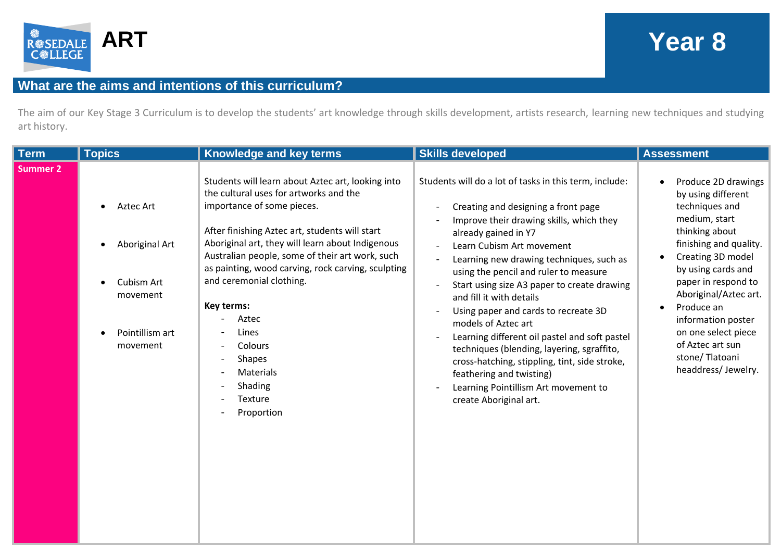

## **ART Year 8**

## **What are the aims and intentions of this curriculum?**

The aim of our Key Stage 3 Curriculum is to develop the students' art knowledge through skills development, artists research, learning new techniques and studying art history.

| <b>Term</b> | <b>Topics</b>                                                                        | Knowledge and key terms                                                                                                                                                                                                                                                                                                                                                                                                                                                                  | <b>Skills developed</b>                                                                                                                                                                                                                                                                                                                                                                                                                                                                                                                                                                                                                                                     | <b>Assessment</b>                                                                                                                                                                                                                                                                                                                          |
|-------------|--------------------------------------------------------------------------------------|------------------------------------------------------------------------------------------------------------------------------------------------------------------------------------------------------------------------------------------------------------------------------------------------------------------------------------------------------------------------------------------------------------------------------------------------------------------------------------------|-----------------------------------------------------------------------------------------------------------------------------------------------------------------------------------------------------------------------------------------------------------------------------------------------------------------------------------------------------------------------------------------------------------------------------------------------------------------------------------------------------------------------------------------------------------------------------------------------------------------------------------------------------------------------------|--------------------------------------------------------------------------------------------------------------------------------------------------------------------------------------------------------------------------------------------------------------------------------------------------------------------------------------------|
| Summer 2    | Aztec Art<br>Aboriginal Art<br>Cubism Art<br>movement<br>Pointillism art<br>movement | Students will learn about Aztec art, looking into<br>the cultural uses for artworks and the<br>importance of some pieces.<br>After finishing Aztec art, students will start<br>Aboriginal art, they will learn about Indigenous<br>Australian people, some of their art work, such<br>as painting, wood carving, rock carving, sculpting<br>and ceremonial clothing.<br>Key terms:<br>Aztec<br>Lines<br>Colours<br><b>Shapes</b><br>Materials<br>Shading<br><b>Texture</b><br>Proportion | Students will do a lot of tasks in this term, include:<br>Creating and designing a front page<br>Improve their drawing skills, which they<br>already gained in Y7<br>Learn Cubism Art movement<br>Learning new drawing techniques, such as<br>using the pencil and ruler to measure<br>Start using size A3 paper to create drawing<br>and fill it with details<br>Using paper and cards to recreate 3D<br>models of Aztec art<br>Learning different oil pastel and soft pastel<br>techniques (blending, layering, sgraffito,<br>cross-hatching, stippling, tint, side stroke,<br>feathering and twisting)<br>Learning Pointillism Art movement to<br>create Aboriginal art. | Produce 2D drawings<br>by using different<br>techniques and<br>medium, start<br>thinking about<br>finishing and quality.<br>Creating 3D model<br>by using cards and<br>paper in respond to<br>Aboriginal/Aztec art.<br>Produce an<br>information poster<br>on one select piece<br>of Aztec art sun<br>stone/Tlatoani<br>headdress/Jewelry. |
|             |                                                                                      |                                                                                                                                                                                                                                                                                                                                                                                                                                                                                          |                                                                                                                                                                                                                                                                                                                                                                                                                                                                                                                                                                                                                                                                             |                                                                                                                                                                                                                                                                                                                                            |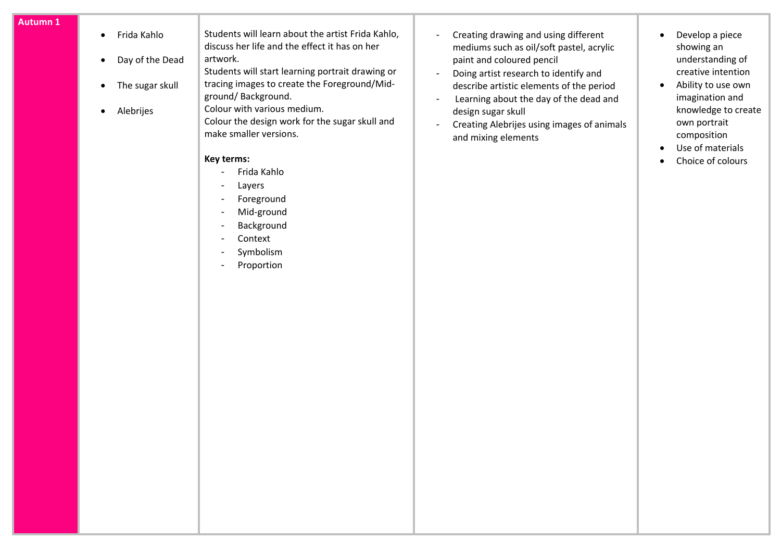|  |  | Autumn 1 |
|--|--|----------|
|  |  |          |
|  |  |          |

• Frida Kahlo • Day of the Dead • The sugar skull • Alebrijes Students will learn about the artist Frida Kahlo, discuss her life and the effect it has on her artwork. Students will start learning portrait drawing or tracing images to create the Foreground/Midground/ Background. Colour with various medium. Colour the design work for the sugar skull and make smaller versions. **Key terms:** - Frida Kahlo - Layers - Foreground - Mid-ground - Background - Context - Symbolism - Proportion - Creating drawing and using different mediums such as oil/soft pastel, acrylic paint and coloured pencil - Doing artist research to identify and describe artistic elements of the period - Learning about the day of the dead and design sugar skull - Creating Alebrijes using images of animals and mixing elements • Develop a piece showing an understanding of creative intention • Ability to use own imagination and knowledge to create own portrait composition • Use of materials • Choice of colours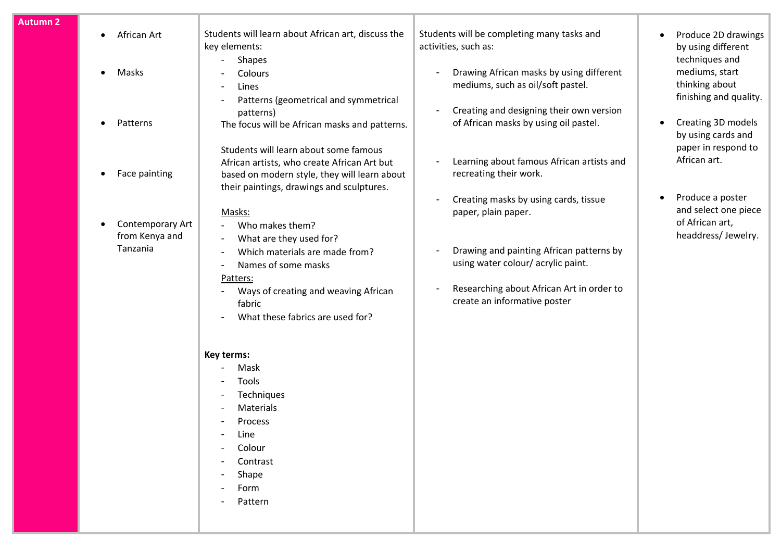| African Art<br>$\bullet$                            | Students will learn about African art, discuss the<br>key elements:                                                                                                                                                                                 | Students will be completing many tasks and<br>activities, such as:                                                                                                                                                         | Produce 2D drawings<br>by using different<br>techniques and                       |
|-----------------------------------------------------|-----------------------------------------------------------------------------------------------------------------------------------------------------------------------------------------------------------------------------------------------------|----------------------------------------------------------------------------------------------------------------------------------------------------------------------------------------------------------------------------|-----------------------------------------------------------------------------------|
| Masks<br>$\bullet$                                  | Colours<br>Lines<br>$\overline{\phantom{a}}$                                                                                                                                                                                                        | Drawing African masks by using different<br>mediums, such as oil/soft pastel.                                                                                                                                              | mediums, start<br>thinking about<br>finishing and quality.                        |
| Patterns<br>$\bullet$                               | patterns)<br>The focus will be African masks and patterns.                                                                                                                                                                                          | Creating and designing their own version<br>of African masks by using oil pastel.                                                                                                                                          | Creating 3D models<br>by using cards and<br>paper in respond to                   |
| Face painting<br>٠                                  | African artists, who create African Art but<br>based on modern style, they will learn about<br>their paintings, drawings and sculptures.                                                                                                            | Learning about famous African artists and<br>recreating their work.                                                                                                                                                        | African art.                                                                      |
| Contemporary Art<br>٠<br>from Kenya and<br>Tanzania | Masks:<br>Who makes them?<br>What are they used for?<br>Which materials are made from?<br>$\blacksquare$<br>Names of some masks<br>$\blacksquare$<br>Patters:<br>Ways of creating and weaving African<br>fabric<br>What these fabrics are used for? | Creating masks by using cards, tissue<br>paper, plain paper.<br>Drawing and painting African patterns by<br>using water colour/acrylic paint.<br>Researching about African Art in order to<br>create an informative poster | Produce a poster<br>and select one piece<br>of African art,<br>headdress/Jewelry. |
|                                                     | Key terms:<br>Mask<br>Tools<br>Techniques<br>Materials<br>Process<br>Line<br>Colour<br>Contrast<br>Shape<br>Form<br>Pattern                                                                                                                         |                                                                                                                                                                                                                            |                                                                                   |
|                                                     |                                                                                                                                                                                                                                                     | Shapes<br>$\blacksquare$<br>Patterns (geometrical and symmetrical<br>Students will learn about some famous                                                                                                                 |                                                                                   |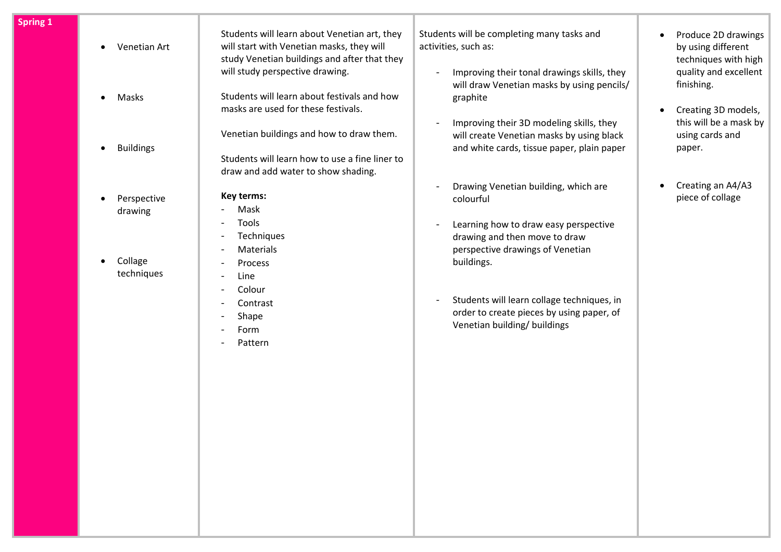| <b>Spring 1</b> | Venetian Art<br>$\bullet$           | Students will learn about Venetian art, they<br>will start with Venetian masks, they will<br>study Venetian buildings and after that they<br>will study perspective drawing. | Students will be completing many tasks and<br>activities, such as:<br>Improving their tonal drawings skills, they        | Produce 2D drawings<br>$\bullet$<br>by using different<br>techniques with high<br>quality and excellent |
|-----------------|-------------------------------------|------------------------------------------------------------------------------------------------------------------------------------------------------------------------------|--------------------------------------------------------------------------------------------------------------------------|---------------------------------------------------------------------------------------------------------|
|                 | Masks<br>$\bullet$                  | Students will learn about festivals and how<br>masks are used for these festivals.                                                                                           | will draw Venetian masks by using pencils/<br>graphite<br>Improving their 3D modeling skills, they                       | finishing.<br>Creating 3D models,<br>$\bullet$<br>this will be a mask by                                |
|                 | <b>Buildings</b>                    | Venetian buildings and how to draw them.<br>Students will learn how to use a fine liner to<br>draw and add water to show shading.                                            | will create Venetian masks by using black<br>and white cards, tissue paper, plain paper                                  | using cards and<br>paper.                                                                               |
|                 | Perspective<br>$\bullet$<br>drawing | Key terms:<br>Mask<br>Tools                                                                                                                                                  | Drawing Venetian building, which are<br>colourful                                                                        | Creating an A4/A3<br>piece of collage                                                                   |
|                 | Collage<br>$\bullet$<br>techniques  | Techniques<br>Materials<br>$\blacksquare$<br>Process<br>Line                                                                                                                 | Learning how to draw easy perspective<br>drawing and then move to draw<br>perspective drawings of Venetian<br>buildings. |                                                                                                         |
|                 |                                     | Colour<br>Contrast<br>Shape<br>Form<br>Pattern                                                                                                                               | Students will learn collage techniques, in<br>order to create pieces by using paper, of<br>Venetian building/ buildings  |                                                                                                         |
|                 |                                     |                                                                                                                                                                              |                                                                                                                          |                                                                                                         |
|                 |                                     |                                                                                                                                                                              |                                                                                                                          |                                                                                                         |
|                 |                                     |                                                                                                                                                                              |                                                                                                                          |                                                                                                         |
|                 |                                     |                                                                                                                                                                              |                                                                                                                          |                                                                                                         |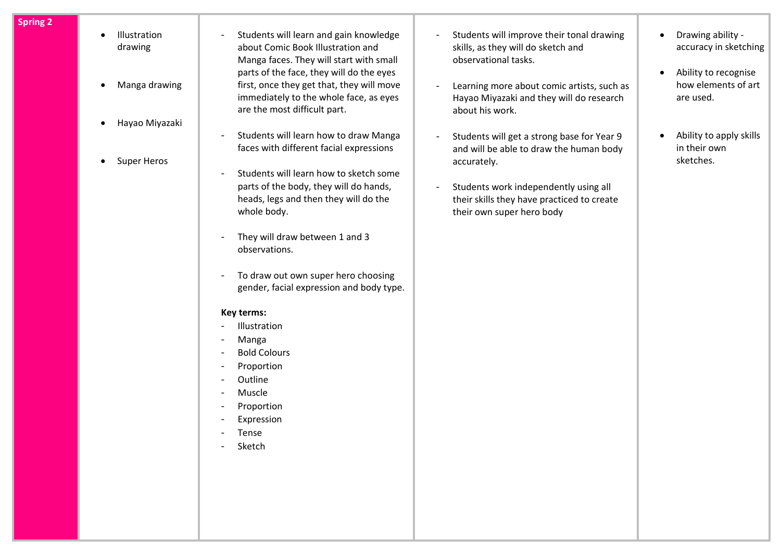- **Spring 2**
- Illustration drawing
- Manga drawing
- Hayao Miyazaki
- Super Heros
- Students will learn and gain knowledge about Comic Book Illustration and Manga faces. They will start with small parts of the face, they will do the eyes first, once they get that, they will move immediately to the whole face, as eyes are the most difficult part.
- Students will learn how to draw Manga faces with different facial expressions
- Students will learn how to sketch some parts of the body, they will do hands, heads, legs and then they will do the whole body.
- They will draw between 1 and 3 observations.
- To draw out own super hero choosing gender, facial expression and body type.

## **Key terms:**

- Illustration
- Manga
- Bold Colours
- Proportion
- Outline
- **Muscle**
- Proportion
- **Expression**
- **Tense**
- Sketch
- Students will improve their tonal drawing skills, as they will do sketch and observational tasks.
- Learning more about comic artists, such as Hayao Miyazaki and they will do research about his work.
- Students will get a strong base for Year 9 and will be able to draw the human body accurately.
- Students work independently using all their skills they have practiced to create their own super hero body
- Drawing ability accuracy in sketching
- Ability to recognise how elements of art are used.
- Ability to apply skills in their own sketches.